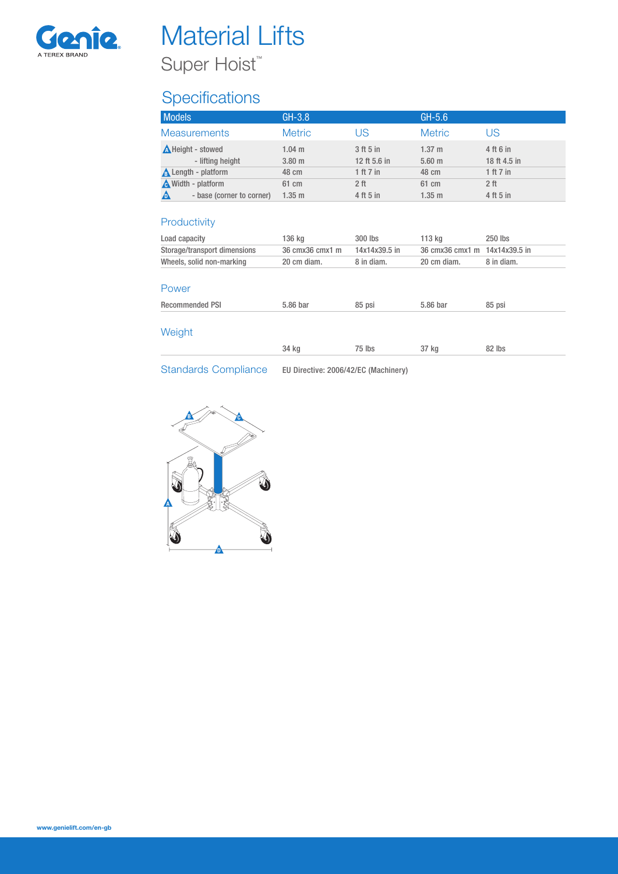

# **Material Lifts** Super Hoist™

## **Specifications**

| <b>Metric</b>      | US.                       | <b>Metric</b>                            |                                |
|--------------------|---------------------------|------------------------------------------|--------------------------------|
|                    |                           |                                          | US                             |
| $1.04$ m<br>3.80 m | 3 ft 5 in<br>12 ft 5.6 in | 1.37 <sub>m</sub><br>$5.60$ m            | 4 ft 6 in<br>18 ft 4.5 in      |
|                    |                           |                                          | 1 ft $7$ in<br>2 <sup>th</sup> |
| $1.35$ m           | 4 ft 5 in                 | $1.35$ m                                 | 4 ft 5 in                      |
| 136 kg             | 300 lbs                   | 113 kg                                   | 250 lbs                        |
| 36 cmx36 cmx1 m    | 14x14x39.5 in             | 36 cmx36 cmx1 m                          | 14x14x39.5 in                  |
| 20 cm diam.        | 8 in diam.                | 20 cm diam.                              | 8 in diam.                     |
|                    |                           |                                          |                                |
| 5.86 bar           | 85 psi                    | 5.86 bar                                 | 85 psi                         |
|                    |                           |                                          | 82 lbs                         |
|                    | 48 cm<br>61 cm<br>34 kg   | 1 ft $7$ in<br>2 <sub>ft</sub><br>75 lbs | 48 cm<br>61 cm<br>37 kg        |

Standards Compliance EU Directive: 2006/42/EC (Machinery)